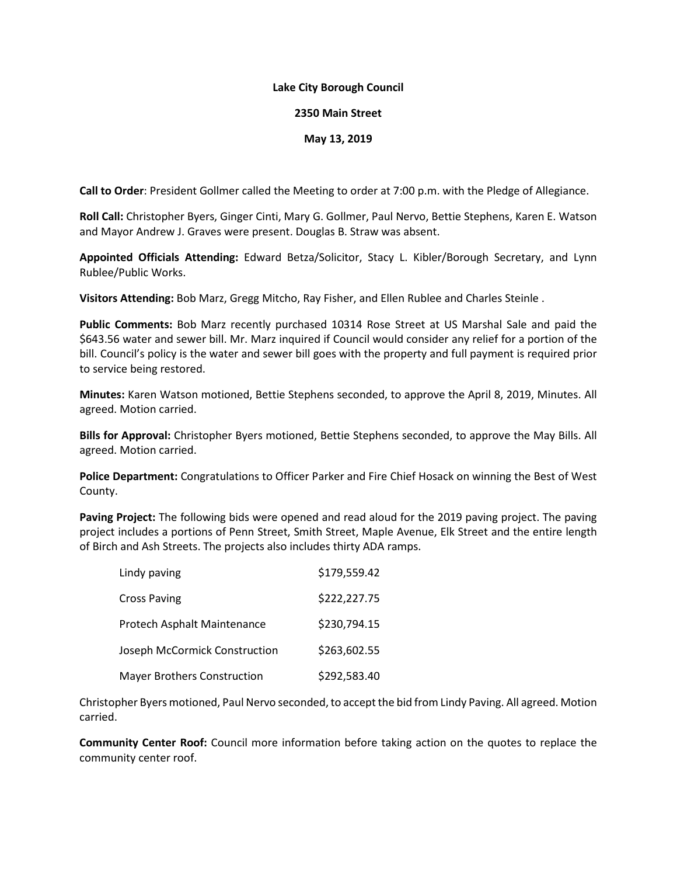## **Lake City Borough Council**

## **2350 Main Street**

## **May 13, 2019**

**Call to Order**: President Gollmer called the Meeting to order at 7:00 p.m. with the Pledge of Allegiance.

**Roll Call:** Christopher Byers, Ginger Cinti, Mary G. Gollmer, Paul Nervo, Bettie Stephens, Karen E. Watson and Mayor Andrew J. Graves were present. Douglas B. Straw was absent.

**Appointed Officials Attending:** Edward Betza/Solicitor, Stacy L. Kibler/Borough Secretary, and Lynn Rublee/Public Works.

**Visitors Attending:** Bob Marz, Gregg Mitcho, Ray Fisher, and Ellen Rublee and Charles Steinle .

**Public Comments:** Bob Marz recently purchased 10314 Rose Street at US Marshal Sale and paid the \$643.56 water and sewer bill. Mr. Marz inquired if Council would consider any relief for a portion of the bill. Council's policy is the water and sewer bill goes with the property and full payment is required prior to service being restored.

**Minutes:** Karen Watson motioned, Bettie Stephens seconded, to approve the April 8, 2019, Minutes. All agreed. Motion carried.

**Bills for Approval:** Christopher Byers motioned, Bettie Stephens seconded, to approve the May Bills. All agreed. Motion carried.

**Police Department:** Congratulations to Officer Parker and Fire Chief Hosack on winning the Best of West County.

**Paving Project:** The following bids were opened and read aloud for the 2019 paving project. The paving project includes a portions of Penn Street, Smith Street, Maple Avenue, Elk Street and the entire length of Birch and Ash Streets. The projects also includes thirty ADA ramps.

| Lindy paving                       | \$179,559.42 |
|------------------------------------|--------------|
| <b>Cross Paving</b>                | \$222,227.75 |
| Protech Asphalt Maintenance        | \$230,794.15 |
| Joseph McCormick Construction      | \$263,602.55 |
| <b>Mayer Brothers Construction</b> | \$292,583.40 |

Christopher Byers motioned, Paul Nervo seconded, to accept the bid from Lindy Paving. All agreed. Motion carried.

**Community Center Roof:** Council more information before taking action on the quotes to replace the community center roof.